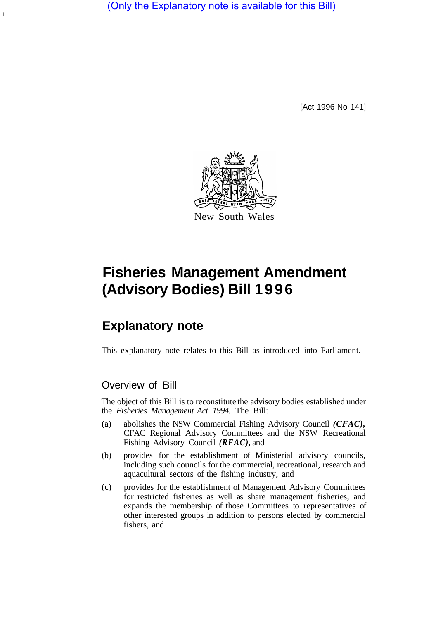(Only the Explanatory note is available for this Bill)

[Act 1996 No 141]



# **Fisheries Management Amendment (Advisory Bodies) Bill 1996**

## **Explanatory note**

This explanatory note relates to this Bill as introduced into Parliament.

### Overview of Bill

The object of this Bill is to reconstitute the advisory bodies established under the *Fisheries Management Act 1994.* The Bill:

- (a) abolishes the NSW Commercial Fishing Advisory Council *(CFAC),*  CFAC Regional Advisory Committees and the NSW Recreational Fishing Advisory Council *(RFAC),* and
- (b) provides for the establishment of Ministerial advisory councils, including such councils for the commercial, recreational, research and aquacultural sectors of the fishing industry, and
- (c) provides for the establishment of Management Advisory Committees for restricted fisheries as well as share management fisheries, and expands the membership of those Committees to representatives of other interested groups in addition to persons elected by commercial fishers, and